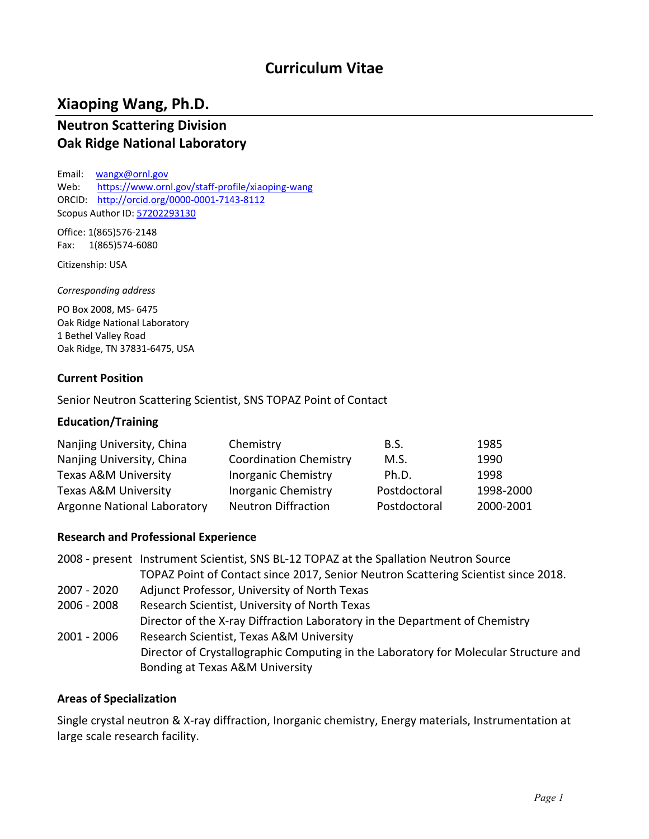# **Curriculum Vitae**

# **Xiaoping Wang, Ph.D.**

### **Neutron Scattering Division Oak Ridge National Laboratory**

Email: [wangx@ornl.gov](mailto:wangx@ornl.gov) Web: <https://www.ornl.gov/staff-profile/xiaoping-wang> ORCID: <http://orcid.org/0000-0001-7143-8112> Scopus Author ID: [57202293130](http://www.scopus.com/inward/authorDetails.url?authorID=57202293130&partnerID=MN8TOARS)

Office: 1(865)576-2148 Fax: 1(865)574-6080

Citizenship: USA

*Corresponding address*

PO Box 2008, MS- 6475 Oak Ridge National Laboratory 1 Bethel Valley Road Oak Ridge, TN 37831-6475, USA

#### **Current Position**

Senior Neutron Scattering Scientist, SNS TOPAZ Point of Contact

#### **Education/Training**

| Nanjing University, China       | Chemistry                     | B.S.         | 1985      |
|---------------------------------|-------------------------------|--------------|-----------|
| Nanjing University, China       | <b>Coordination Chemistry</b> | M.S.         | 1990      |
| <b>Texas A&amp;M University</b> | <b>Inorganic Chemistry</b>    | Ph.D.        | 1998      |
| <b>Texas A&amp;M University</b> | <b>Inorganic Chemistry</b>    | Postdoctoral | 1998-2000 |
| Argonne National Laboratory     | <b>Neutron Diffraction</b>    | Postdoctoral | 2000-2001 |

#### **Research and Professional Experience**

|               | 2008 - present Instrument Scientist, SNS BL-12 TOPAZ at the Spallation Neutron Source |
|---------------|---------------------------------------------------------------------------------------|
|               | TOPAZ Point of Contact since 2017, Senior Neutron Scattering Scientist since 2018.    |
| 2007 - 2020   | Adjunct Professor, University of North Texas                                          |
| 2006 - 2008   | Research Scientist, University of North Texas                                         |
|               | Director of the X-ray Diffraction Laboratory in the Department of Chemistry           |
| $2001 - 2006$ | Research Scientist, Texas A&M University                                              |
|               | Director of Crystallographic Computing in the Laboratory for Molecular Structure and  |
|               | Bonding at Texas A&M University                                                       |

#### **Areas of Specialization**

Single crystal neutron & X-ray diffraction, Inorganic chemistry, Energy materials, Instrumentation at large scale research facility.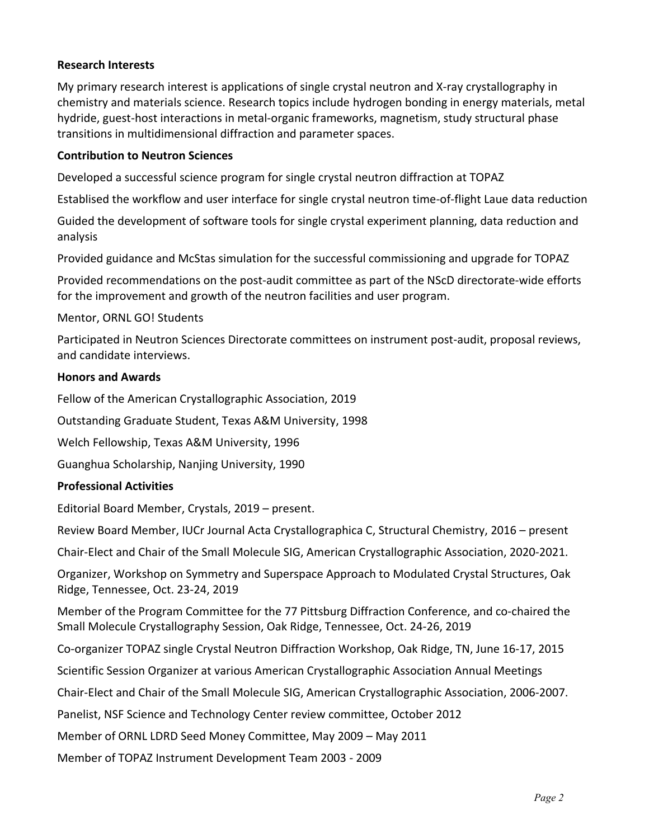#### **Research Interests**

My primary research interest is applications of single crystal neutron and X-ray crystallography in chemistry and materials science. Research topics include hydrogen bonding in energy materials, metal hydride, guest-host interactions in metal-organic frameworks, magnetism, study structural phase transitions in multidimensional diffraction and parameter spaces.

#### **Contribution to Neutron Sciences**

Developed a successful science program for single crystal neutron diffraction at TOPAZ

Establised the workflow and user interface for single crystal neutron time-of-flight Laue data reduction

Guided the development of software tools for single crystal experiment planning, data reduction and analysis

Provided guidance and McStas simulation for the successful commissioning and upgrade for TOPAZ

Provided recommendations on the post-audit committee as part of the NScD directorate-wide efforts for the improvement and growth of the neutron facilities and user program.

#### Mentor, ORNL GO! Students

Participated in Neutron Sciences Directorate committees on instrument post-audit, proposal reviews, and candidate interviews.

#### **Honors and Awards**

Fellow of the American Crystallographic Association, 2019

Outstanding Graduate Student, Texas A&M University, 1998

Welch Fellowship, Texas A&M University, 1996

Guanghua Scholarship, Nanjing University, 1990

#### **Professional Activities**

Editorial Board Member, Crystals, 2019 – present.

Review Board Member, IUCr Journal Acta Crystallographica C, Structural Chemistry, 2016 – present

Chair-Elect and Chair of the Small Molecule SIG, American Crystallographic Association, 2020-2021.

Organizer, Workshop on Symmetry and Superspace Approach to Modulated Crystal Structures, Oak Ridge, Tennessee, Oct. 23-24, 2019

Member of the Program Committee for the 77 Pittsburg Diffraction Conference, and co-chaired the Small Molecule Crystallography Session, Oak Ridge, Tennessee, Oct. 24-26, 2019

Co-organizer TOPAZ single Crystal Neutron Diffraction Workshop, Oak Ridge, TN, June 16-17, 2015

Scientific Session Organizer at various American Crystallographic Association Annual Meetings

Chair-Elect and Chair of the Small Molecule SIG, American Crystallographic Association, 2006-2007.

Panelist, NSF Science and Technology Center review committee, October 2012

Member of ORNL LDRD Seed Money Committee, May 2009 – May 2011

Member of TOPAZ Instrument Development Team 2003 - 2009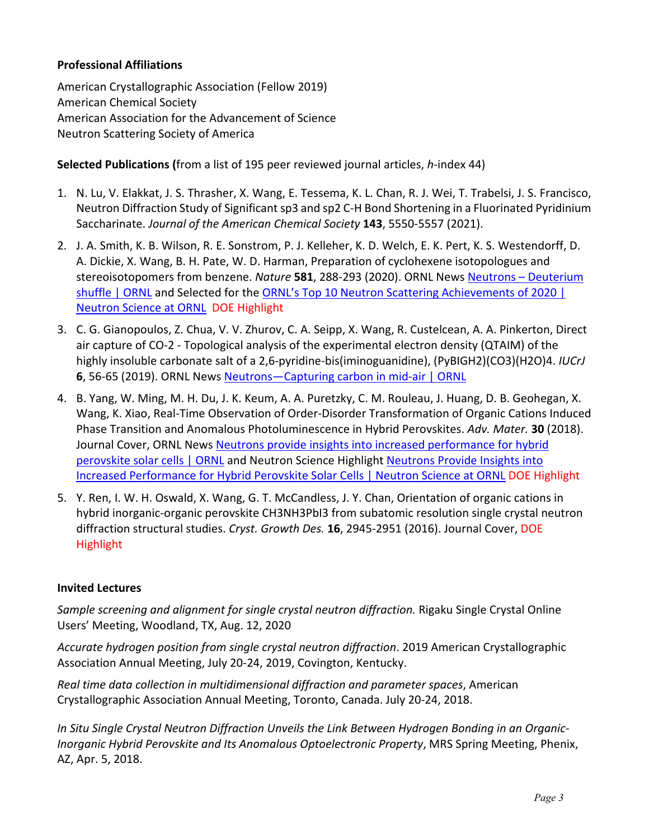### **Professional Affiliations**

American Crystallographic Association (Fellow 2019) American Chemical Society American Association for the Advancement of Science Neutron Scattering Society of America

**Selected Publications (**from a list of 195 peer reviewed journal articles, *h*-index 44)

- 1. N. Lu, V. Elakkat, J. S. Thrasher, X. Wang, E. Tessema, K. L. Chan, R. J. Wei, T. Trabelsi, J. S. Francisco, Neutron Diffraction Study of Significant sp3 and sp2 C-H Bond Shortening in a Fluorinated Pyridinium Saccharinate. *Journal of the American Chemical Society* **143**, 5550-5557 (2021).
- 2. J. A. Smith, K. B. Wilson, R. E. Sonstrom, P. J. Kelleher, K. D. Welch, E. K. Pert, K. S. Westendorff, D. A. Dickie, X. Wang, B. H. Pate, W. D. Harman, Preparation of cyclohexene isotopologues and stereoisotopomers from benzene. *Nature* **581**, 288-293 (2020). ORNL News [Neutrons –](https://www.ornl.gov/news/neutrons-deuterium-shuffle) Deuterium [shuffle | ORNL](https://www.ornl.gov/news/neutrons-deuterium-shuffle) and Selected for the [ORNL's Top 10 Neutron Scattering Achievements of 2020 |](https://neutrons.ornl.gov/content/ornl%E2%80%99s-top-10-neutron-scattering-achievements-2020)  [Neutron Science at ORNL](https://neutrons.ornl.gov/content/ornl%E2%80%99s-top-10-neutron-scattering-achievements-2020) DOE Highlight
- 3. C. G. Gianopoulos, Z. Chua, V. V. Zhurov, C. A. Seipp, X. Wang, R. Custelcean, A. A. Pinkerton, Direct air capture of CO-2 - Topological analysis of the experimental electron density (QTAIM) of the highly insoluble carbonate salt of a 2,6-pyridine-bis(iminoguanidine), (PyBIGH2)(CO3)(H2O)4. *IUCrJ* **6**, 56-65 (2019). ORNL News [Neutrons—Capturing carbon in mid-air | ORNL](https://www.ornl.gov/news/neutrons-capturing-carbon-mid-air)
- 4. B. Yang, W. Ming, M. H. Du, J. K. Keum, A. A. Puretzky, C. M. Rouleau, J. Huang, D. B. Geohegan, X. Wang, K. Xiao, Real-Time Observation of Order-Disorder Transformation of Organic Cations Induced Phase Transition and Anomalous Photoluminescence in Hybrid Perovskites. *Adv. Mater.* **30** (2018). Journal Cover, ORNL News [Neutrons provide insights into increased performance for hybrid](https://www.ornl.gov/news/neutrons-provide-insights-increased-performance-hybrid-perovskite-solar-cells)  [perovskite solar cells | ORNL](https://www.ornl.gov/news/neutrons-provide-insights-increased-performance-hybrid-perovskite-solar-cells) and Neutron Science Highlight [Neutrons Provide Insights into](https://neutrons.ornl.gov/content/neutrons-provide-insights-increased-performance-hybrid-perovskite-solar-cells)  [Increased Performance for Hybrid Perovskite Solar Cells | Neutron Science at ORNL](https://neutrons.ornl.gov/content/neutrons-provide-insights-increased-performance-hybrid-perovskite-solar-cells) DOE Highlight
- 5. Y. Ren, I. W. H. Oswald, X. Wang, G. T. McCandless, J. Y. Chan, Orientation of organic cations in hybrid inorganic-organic perovskite CH3NH3PbI3 from subatomic resolution single crystal neutron diffraction structural studies. *Cryst. Growth Des.* **16**, 2945-2951 (2016). Journal Cover, DOE Highlight

#### **Invited Lectures**

*Sample screening and alignment for single crystal neutron diffraction.* Rigaku Single Crystal Online Users' Meeting, Woodland, TX, Aug. 12, 2020

*Accurate hydrogen position from single crystal neutron diffraction*. 2019 American Crystallographic Association Annual Meeting, July 20-24, 2019, Covington, Kentucky.

*Real time data collection in multidimensional diffraction and parameter spaces*, American Crystallographic Association Annual Meeting, Toronto, Canada. July 20-24, 2018.

*In Situ Single Crystal Neutron Diffraction Unveils the Link Between Hydrogen Bonding in an Organic-Inorganic Hybrid Perovskite and Its Anomalous Optoelectronic Property*, MRS Spring Meeting, Phenix, AZ, Apr. 5, 2018.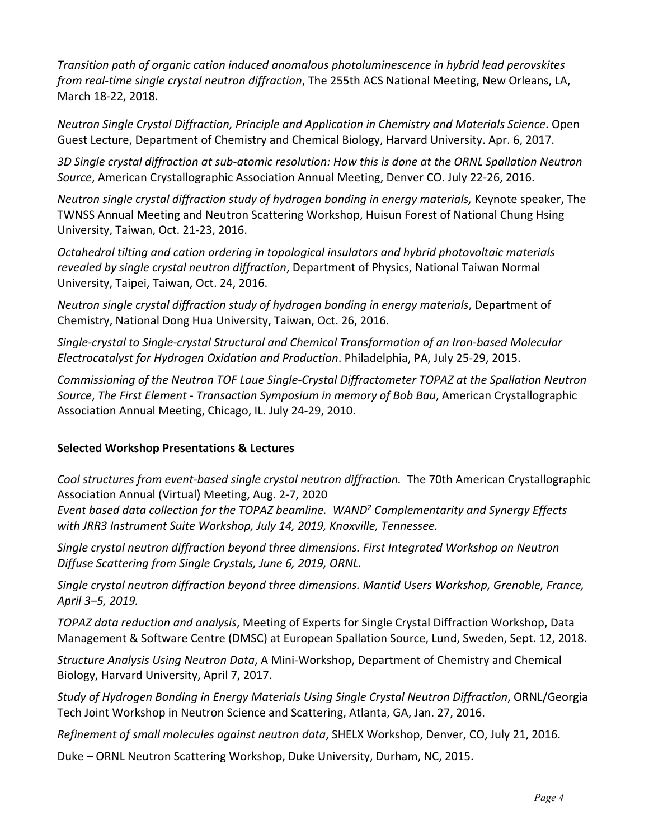*Transition path of organic cation induced anomalous photoluminescence in hybrid lead perovskites from real-time single crystal neutron diffraction*, The 255th ACS National Meeting, New Orleans, LA, March 18-22, 2018.

*Neutron Single Crystal Diffraction, Principle and Application in Chemistry and Materials Science*. Open Guest Lecture, Department of Chemistry and Chemical Biology, Harvard University. Apr. 6, 2017.

*3D Single crystal diffraction at sub-atomic resolution: How this is done at the ORNL Spallation Neutron Source*, American Crystallographic Association Annual Meeting, Denver CO. July 22-26, 2016.

*Neutron single crystal diffraction study of hydrogen bonding in energy materials,* Keynote speaker, The TWNSS Annual Meeting and Neutron Scattering Workshop, Huisun Forest of National Chung Hsing University, Taiwan, Oct. 21-23, 2016.

*Octahedral tilting and cation ordering in topological insulators and hybrid photovoltaic materials revealed by single crystal neutron diffraction*, Department of Physics, National Taiwan Normal University, Taipei, Taiwan, Oct. 24, 2016.

*Neutron single crystal diffraction study of hydrogen bonding in energy materials*, Department of Chemistry, National Dong Hua University, Taiwan, Oct. 26, 2016.

*Single-crystal to Single-crystal Structural and Chemical Transformation of an Iron-based Molecular Electrocatalyst for Hydrogen Oxidation and Production*. Philadelphia, PA, July 25-29, 2015.

*Commissioning of the Neutron TOF Laue Single-Crystal Diffractometer TOPAZ at the Spallation Neutron Source*, *The First Element - Transaction Symposium in memory of Bob Bau*, American Crystallographic Association Annual Meeting, Chicago, IL. July 24-29, 2010.

#### **Selected Workshop Presentations & Lectures**

*Cool structures from event-based single crystal neutron diffraction.* The 70th American Crystallographic Association Annual (Virtual) Meeting, Aug. 2-7, 2020

*Event based data collection for the TOPAZ beamline. WAND2 Complementarity and Synergy Effects with JRR3 Instrument Suite Workshop, July 14, 2019, Knoxville, Tennessee.*

*Single crystal neutron diffraction beyond three dimensions. First Integrated Workshop on Neutron Diffuse Scattering from Single Crystals, June 6, 2019, ORNL.*

*Single crystal neutron diffraction beyond three dimensions. Mantid Users Workshop, Grenoble, France, April 3–5, 2019.*

*TOPAZ data reduction and analysis*, Meeting of Experts for Single Crystal Diffraction Workshop, Data Management & Software Centre (DMSC) at European Spallation Source, Lund, Sweden, Sept. 12, 2018.

*Structure Analysis Using Neutron Data*, A Mini-Workshop, Department of Chemistry and Chemical Biology, Harvard University, April 7, 2017.

*Study of Hydrogen Bonding in Energy Materials Using Single Crystal Neutron Diffraction*, ORNL/Georgia Tech Joint Workshop in Neutron Science and Scattering, Atlanta, GA, Jan. 27, 2016.

*Refinement of small molecules against neutron data*, SHELX Workshop, Denver, CO, July 21, 2016.

Duke – ORNL Neutron Scattering Workshop, Duke University, Durham, NC, 2015.